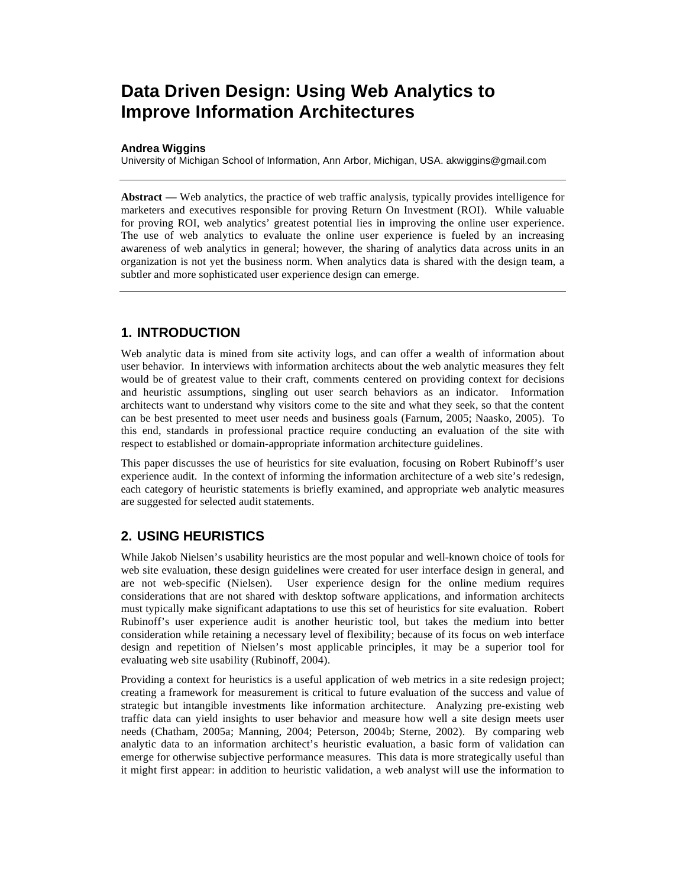# **Data Driven Design: Using Web Analytics to Improve Information Architectures**

#### **Andrea Wiggins**

University of Michigan School of Information, Ann Arbor, Michigan, USA. akwiggins@gmail.com

**Abstract —** Web analytics, the practice of web traffic analysis, typically provides intelligence for marketers and executives responsible for proving Return On Investment (ROI). While valuable for proving ROI, web analytics' greatest potential lies in improving the online user experience. The use of web analytics to evaluate the online user experience is fueled by an increasing awareness of web analytics in general; however, the sharing of analytics data across units in an organization is not yet the business norm. When analytics data is shared with the design team, a subtler and more sophisticated user experience design can emerge.

## **1. INTRODUCTION**

Web analytic data is mined from site activity logs, and can offer a wealth of information about user behavior. In interviews with information architects about the web analytic measures they felt would be of greatest value to their craft, comments centered on providing context for decisions and heuristic assumptions, singling out user search behaviors as an indicator. Information architects want to understand why visitors come to the site and what they seek, so that the content can be best presented to meet user needs and business goals (Farnum, 2005; Naasko, 2005). To this end, standards in professional practice require conducting an evaluation of the site with respect to established or domain-appropriate information architecture guidelines.

This paper discusses the use of heuristics for site evaluation, focusing on Robert Rubinoff's user experience audit. In the context of informing the information architecture of a web site's redesign, each category of heuristic statements is briefly examined, and appropriate web analytic measures are suggested for selected audit statements.

## **2. USING HEURISTICS**

While Jakob Nielsen's usability heuristics are the most popular and well-known choice of tools for web site evaluation, these design guidelines were created for user interface design in general, and are not web-specific (Nielsen). User experience design for the online medium requires considerations that are not shared with desktop software applications, and information architects must typically make significant adaptations to use this set of heuristics for site evaluation. Robert Rubinoff's user experience audit is another heuristic tool, but takes the medium into better consideration while retaining a necessary level of flexibility; because of its focus on web interface design and repetition of Nielsen's most applicable principles, it may be a superior tool for evaluating web site usability (Rubinoff, 2004).

Providing a context for heuristics is a useful application of web metrics in a site redesign project; creating a framework for measurement is critical to future evaluation of the success and value of strategic but intangible investments like information architecture. Analyzing pre-existing web traffic data can yield insights to user behavior and measure how well a site design meets user needs (Chatham, 2005a; Manning, 2004; Peterson, 2004b; Sterne, 2002). By comparing web analytic data to an information architect's heuristic evaluation, a basic form of validation can emerge for otherwise subjective performance measures. This data is more strategically useful than it might first appear: in addition to heuristic validation, a web analyst will use the information to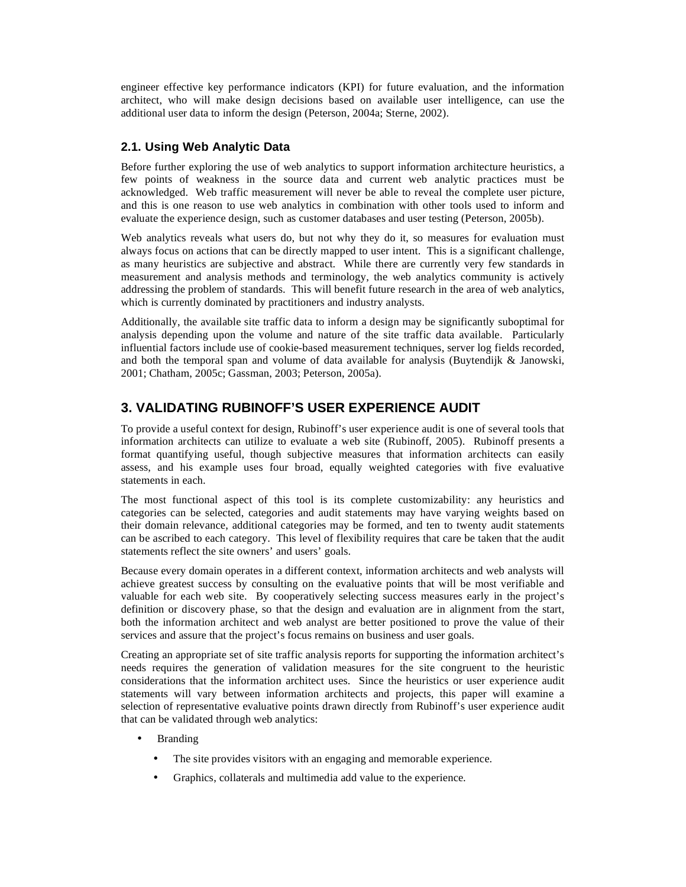engineer effective key performance indicators (KPI) for future evaluation, and the information architect, who will make design decisions based on available user intelligence, can use the additional user data to inform the design (Peterson, 2004a; Sterne, 2002).

## **2.1. Using Web Analytic Data**

Before further exploring the use of web analytics to support information architecture heuristics, a few points of weakness in the source data and current web analytic practices must be acknowledged. Web traffic measurement will never be able to reveal the complete user picture, and this is one reason to use web analytics in combination with other tools used to inform and evaluate the experience design, such as customer databases and user testing (Peterson, 2005b).

Web analytics reveals what users do, but not why they do it, so measures for evaluation must always focus on actions that can be directly mapped to user intent. This is a significant challenge, as many heuristics are subjective and abstract. While there are currently very few standards in measurement and analysis methods and terminology, the web analytics community is actively addressing the problem of standards. This will benefit future research in the area of web analytics, which is currently dominated by practitioners and industry analysts.

Additionally, the available site traffic data to inform a design may be significantly suboptimal for analysis depending upon the volume and nature of the site traffic data available. Particularly influential factors include use of cookie-based measurement techniques, server log fields recorded, and both the temporal span and volume of data available for analysis (Buytendijk & Janowski, 2001; Chatham, 2005c; Gassman, 2003; Peterson, 2005a).

# **3. VALIDATING RUBINOFF'S USER EXPERIENCE AUDIT**

To provide a useful context for design, Rubinoff's user experience audit is one of several tools that information architects can utilize to evaluate a web site (Rubinoff, 2005). Rubinoff presents a format quantifying useful, though subjective measures that information architects can easily assess, and his example uses four broad, equally weighted categories with five evaluative statements in each.

The most functional aspect of this tool is its complete customizability: any heuristics and categories can be selected, categories and audit statements may have varying weights based on their domain relevance, additional categories may be formed, and ten to twenty audit statements can be ascribed to each category. This level of flexibility requires that care be taken that the audit statements reflect the site owners' and users' goals.

Because every domain operates in a different context, information architects and web analysts will achieve greatest success by consulting on the evaluative points that will be most verifiable and valuable for each web site. By cooperatively selecting success measures early in the project's definition or discovery phase, so that the design and evaluation are in alignment from the start, both the information architect and web analyst are better positioned to prove the value of their services and assure that the project's focus remains on business and user goals.

Creating an appropriate set of site traffic analysis reports for supporting the information architect's needs requires the generation of validation measures for the site congruent to the heuristic considerations that the information architect uses. Since the heuristics or user experience audit statements will vary between information architects and projects, this paper will examine a selection of representative evaluative points drawn directly from Rubinoff's user experience audit that can be validated through web analytics:

- Branding
	- The site provides visitors with an engaging and memorable experience.
	- Graphics, collaterals and multimedia add value to the experience.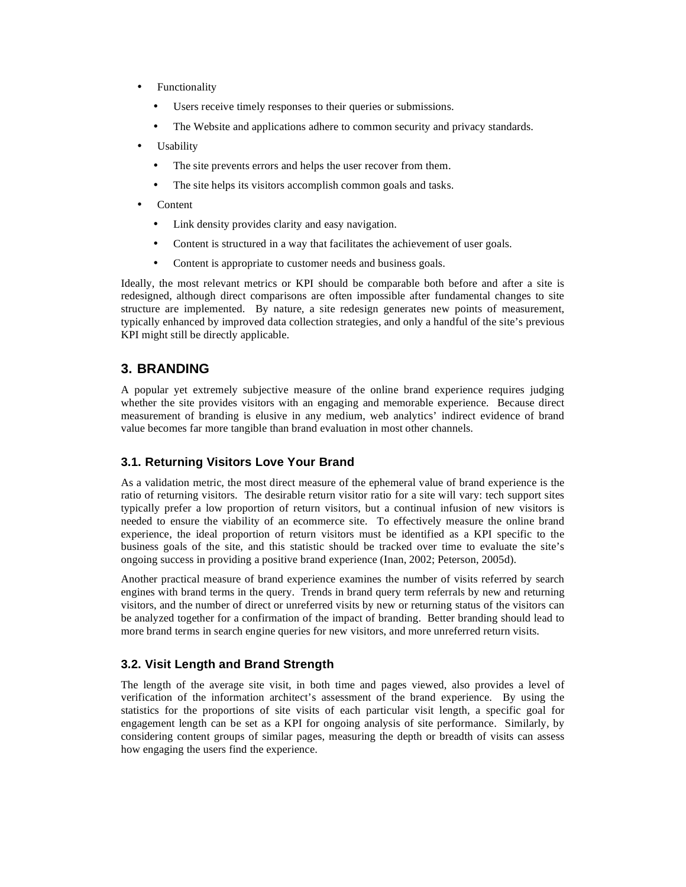- **Functionality** 
	- Users receive timely responses to their queries or submissions.
	- The Website and applications adhere to common security and privacy standards.
- Usability
	- The site prevents errors and helps the user recover from them.
	- The site helps its visitors accomplish common goals and tasks.
- **Content** 
	- Link density provides clarity and easy navigation.
	- Content is structured in a way that facilitates the achievement of user goals.
	- Content is appropriate to customer needs and business goals.

Ideally, the most relevant metrics or KPI should be comparable both before and after a site is redesigned, although direct comparisons are often impossible after fundamental changes to site structure are implemented. By nature, a site redesign generates new points of measurement, typically enhanced by improved data collection strategies, and only a handful of the site's previous KPI might still be directly applicable.

# **3. BRANDING**

A popular yet extremely subjective measure of the online brand experience requires judging whether the site provides visitors with an engaging and memorable experience. Because direct measurement of branding is elusive in any medium, web analytics' indirect evidence of brand value becomes far more tangible than brand evaluation in most other channels.

## **3.1. Returning Visitors Love Your Brand**

As a validation metric, the most direct measure of the ephemeral value of brand experience is the ratio of returning visitors. The desirable return visitor ratio for a site will vary: tech support sites typically prefer a low proportion of return visitors, but a continual infusion of new visitors is needed to ensure the viability of an ecommerce site. To effectively measure the online brand experience, the ideal proportion of return visitors must be identified as a KPI specific to the business goals of the site, and this statistic should be tracked over time to evaluate the site's ongoing success in providing a positive brand experience (Inan, 2002; Peterson, 2005d).

Another practical measure of brand experience examines the number of visits referred by search engines with brand terms in the query. Trends in brand query term referrals by new and returning visitors, and the number of direct or unreferred visits by new or returning status of the visitors can be analyzed together for a confirmation of the impact of branding. Better branding should lead to more brand terms in search engine queries for new visitors, and more unreferred return visits.

## **3.2. Visit Length and Brand Strength**

The length of the average site visit, in both time and pages viewed, also provides a level of verification of the information architect's assessment of the brand experience. By using the statistics for the proportions of site visits of each particular visit length, a specific goal for engagement length can be set as a KPI for ongoing analysis of site performance. Similarly, by considering content groups of similar pages, measuring the depth or breadth of visits can assess how engaging the users find the experience.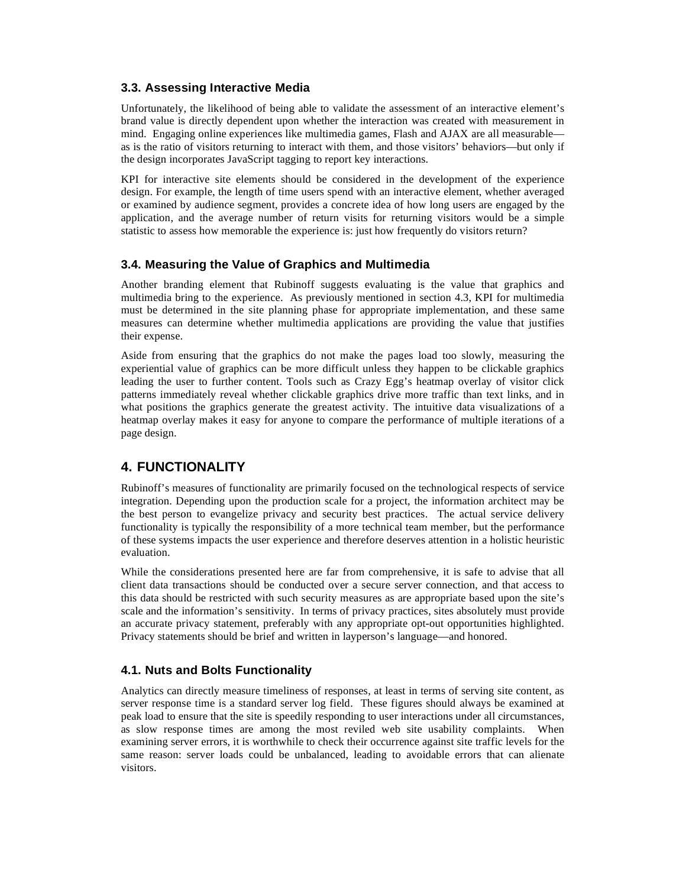#### **3.3. Assessing Interactive Media**

Unfortunately, the likelihood of being able to validate the assessment of an interactive element's brand value is directly dependent upon whether the interaction was created with measurement in mind. Engaging online experiences like multimedia games, Flash and AJAX are all measurable as is the ratio of visitors returning to interact with them, and those visitors' behaviors—but only if the design incorporates JavaScript tagging to report key interactions.

KPI for interactive site elements should be considered in the development of the experience design. For example, the length of time users spend with an interactive element, whether averaged or examined by audience segment, provides a concrete idea of how long users are engaged by the application, and the average number of return visits for returning visitors would be a simple statistic to assess how memorable the experience is: just how frequently do visitors return?

#### **3.4. Measuring the Value of Graphics and Multimedia**

Another branding element that Rubinoff suggests evaluating is the value that graphics and multimedia bring to the experience. As previously mentioned in section 4.3, KPI for multimedia must be determined in the site planning phase for appropriate implementation, and these same measures can determine whether multimedia applications are providing the value that justifies their expense.

Aside from ensuring that the graphics do not make the pages load too slowly, measuring the experiential value of graphics can be more difficult unless they happen to be clickable graphics leading the user to further content. Tools such as Crazy Egg's heatmap overlay of visitor click patterns immediately reveal whether clickable graphics drive more traffic than text links, and in what positions the graphics generate the greatest activity. The intuitive data visualizations of a heatmap overlay makes it easy for anyone to compare the performance of multiple iterations of a page design.

# **4. FUNCTIONALITY**

Rubinoff's measures of functionality are primarily focused on the technological respects of service integration. Depending upon the production scale for a project, the information architect may be the best person to evangelize privacy and security best practices. The actual service delivery functionality is typically the responsibility of a more technical team member, but the performance of these systems impacts the user experience and therefore deserves attention in a holistic heuristic evaluation.

While the considerations presented here are far from comprehensive, it is safe to advise that all client data transactions should be conducted over a secure server connection, and that access to this data should be restricted with such security measures as are appropriate based upon the site's scale and the information's sensitivity. In terms of privacy practices, sites absolutely must provide an accurate privacy statement, preferably with any appropriate opt-out opportunities highlighted. Privacy statements should be brief and written in layperson's language—and honored.

#### **4.1. Nuts and Bolts Functionality**

Analytics can directly measure timeliness of responses, at least in terms of serving site content, as server response time is a standard server log field. These figures should always be examined at peak load to ensure that the site is speedily responding to user interactions under all circumstances, as slow response times are among the most reviled web site usability complaints. When examining server errors, it is worthwhile to check their occurrence against site traffic levels for the same reason: server loads could be unbalanced, leading to avoidable errors that can alienate visitors.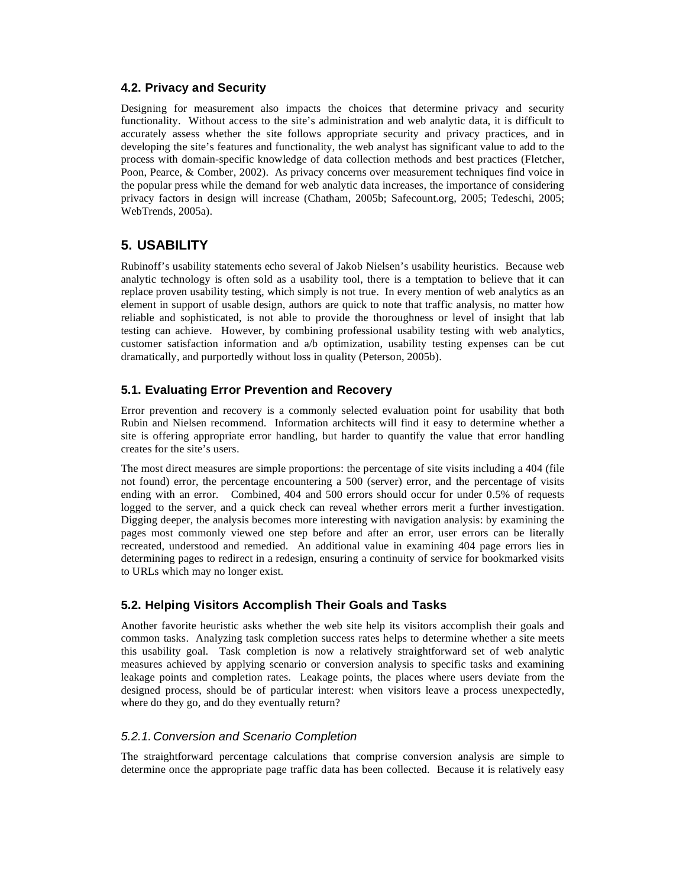#### **4.2. Privacy and Security**

Designing for measurement also impacts the choices that determine privacy and security functionality. Without access to the site's administration and web analytic data, it is difficult to accurately assess whether the site follows appropriate security and privacy practices, and in developing the site's features and functionality, the web analyst has significant value to add to the process with domain-specific knowledge of data collection methods and best practices (Fletcher, Poon, Pearce, & Comber, 2002). As privacy concerns over measurement techniques find voice in the popular press while the demand for web analytic data increases, the importance of considering privacy factors in design will increase (Chatham, 2005b; Safecount.org, 2005; Tedeschi, 2005; WebTrends, 2005a).

# **5. USABILITY**

Rubinoff's usability statements echo several of Jakob Nielsen's usability heuristics. Because web analytic technology is often sold as a usability tool, there is a temptation to believe that it can replace proven usability testing, which simply is not true. In every mention of web analytics as an element in support of usable design, authors are quick to note that traffic analysis, no matter how reliable and sophisticated, is not able to provide the thoroughness or level of insight that lab testing can achieve. However, by combining professional usability testing with web analytics, customer satisfaction information and a/b optimization, usability testing expenses can be cut dramatically, and purportedly without loss in quality (Peterson, 2005b).

## **5.1. Evaluating Error Prevention and Recovery**

Error prevention and recovery is a commonly selected evaluation point for usability that both Rubin and Nielsen recommend. Information architects will find it easy to determine whether a site is offering appropriate error handling, but harder to quantify the value that error handling creates for the site's users.

The most direct measures are simple proportions: the percentage of site visits including a 404 (file not found) error, the percentage encountering a 500 (server) error, and the percentage of visits ending with an error. Combined, 404 and 500 errors should occur for under 0.5% of requests logged to the server, and a quick check can reveal whether errors merit a further investigation. Digging deeper, the analysis becomes more interesting with navigation analysis: by examining the pages most commonly viewed one step before and after an error, user errors can be literally recreated, understood and remedied. An additional value in examining 404 page errors lies in determining pages to redirect in a redesign, ensuring a continuity of service for bookmarked visits to URLs which may no longer exist.

## **5.2. Helping Visitors Accomplish Their Goals and Tasks**

Another favorite heuristic asks whether the web site help its visitors accomplish their goals and common tasks. Analyzing task completion success rates helps to determine whether a site meets this usability goal. Task completion is now a relatively straightforward set of web analytic measures achieved by applying scenario or conversion analysis to specific tasks and examining leakage points and completion rates. Leakage points, the places where users deviate from the designed process, should be of particular interest: when visitors leave a process unexpectedly, where do they go, and do they eventually return?

#### *5.2.1. Conversion and Scenario Completion*

The straightforward percentage calculations that comprise conversion analysis are simple to determine once the appropriate page traffic data has been collected. Because it is relatively easy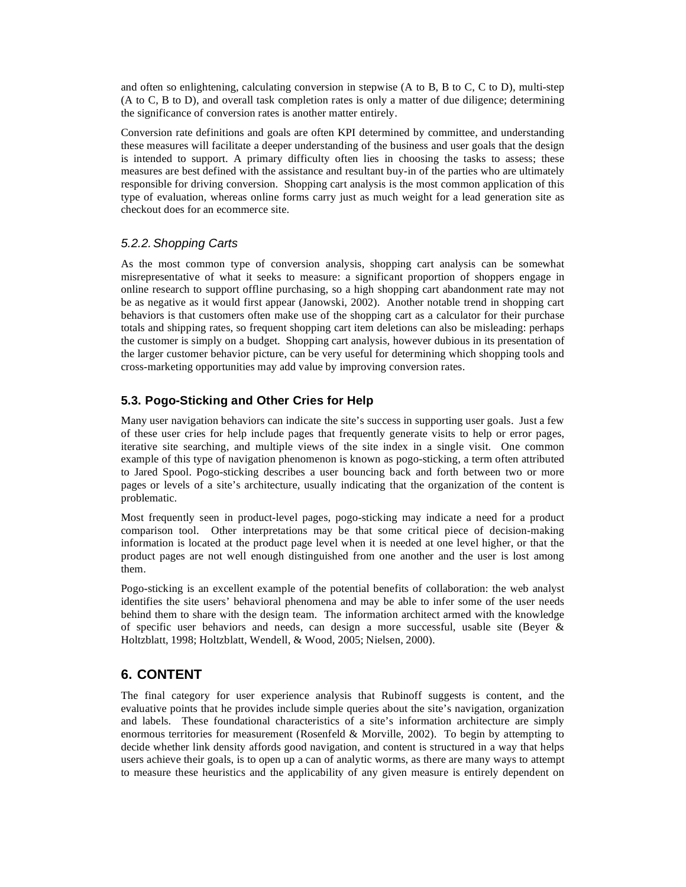and often so enlightening, calculating conversion in stepwise (A to B, B to C, C to D), multi-step (A to C, B to D), and overall task completion rates is only a matter of due diligence; determining the significance of conversion rates is another matter entirely.

Conversion rate definitions and goals are often KPI determined by committee, and understanding these measures will facilitate a deeper understanding of the business and user goals that the design is intended to support. A primary difficulty often lies in choosing the tasks to assess; these measures are best defined with the assistance and resultant buy-in of the parties who are ultimately responsible for driving conversion. Shopping cart analysis is the most common application of this type of evaluation, whereas online forms carry just as much weight for a lead generation site as checkout does for an ecommerce site.

## *5.2.2. Shopping Carts*

As the most common type of conversion analysis, shopping cart analysis can be somewhat misrepresentative of what it seeks to measure: a significant proportion of shoppers engage in online research to support offline purchasing, so a high shopping cart abandonment rate may not be as negative as it would first appear (Janowski, 2002). Another notable trend in shopping cart behaviors is that customers often make use of the shopping cart as a calculator for their purchase totals and shipping rates, so frequent shopping cart item deletions can also be misleading: perhaps the customer is simply on a budget. Shopping cart analysis, however dubious in its presentation of the larger customer behavior picture, can be very useful for determining which shopping tools and cross-marketing opportunities may add value by improving conversion rates.

## **5.3. Pogo-Sticking and Other Cries for Help**

Many user navigation behaviors can indicate the site's success in supporting user goals. Just a few of these user cries for help include pages that frequently generate visits to help or error pages, iterative site searching, and multiple views of the site index in a single visit. One common example of this type of navigation phenomenon is known as pogo-sticking, a term often attributed to Jared Spool. Pogo-sticking describes a user bouncing back and forth between two or more pages or levels of a site's architecture, usually indicating that the organization of the content is problematic.

Most frequently seen in product-level pages, pogo-sticking may indicate a need for a product comparison tool. Other interpretations may be that some critical piece of decision-making information is located at the product page level when it is needed at one level higher, or that the product pages are not well enough distinguished from one another and the user is lost among them.

Pogo-sticking is an excellent example of the potential benefits of collaboration: the web analyst identifies the site users' behavioral phenomena and may be able to infer some of the user needs behind them to share with the design team. The information architect armed with the knowledge of specific user behaviors and needs, can design a more successful, usable site (Beyer  $\&$ Holtzblatt, 1998; Holtzblatt, Wendell, & Wood, 2005; Nielsen, 2000).

# **6. CONTENT**

The final category for user experience analysis that Rubinoff suggests is content, and the evaluative points that he provides include simple queries about the site's navigation, organization and labels. These foundational characteristics of a site's information architecture are simply enormous territories for measurement (Rosenfeld & Morville, 2002). To begin by attempting to decide whether link density affords good navigation, and content is structured in a way that helps users achieve their goals, is to open up a can of analytic worms, as there are many ways to attempt to measure these heuristics and the applicability of any given measure is entirely dependent on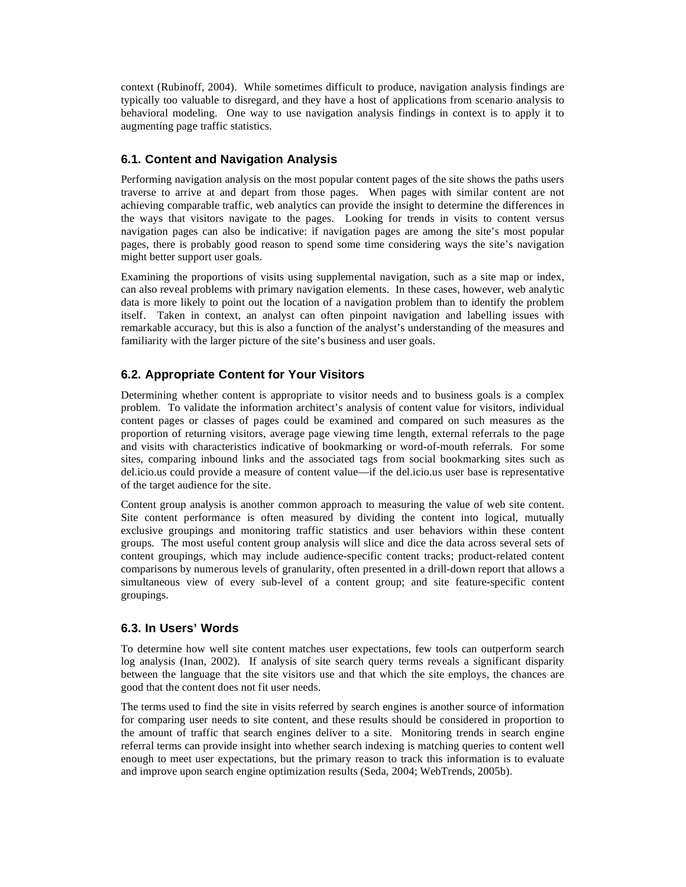context (Rubinoff, 2004). While sometimes difficult to produce, navigation analysis findings are typically too valuable to disregard, and they have a host of applications from scenario analysis to behavioral modeling. One way to use navigation analysis findings in context is to apply it to augmenting page traffic statistics.

#### **6.1. Content and Navigation Analysis**

Performing navigation analysis on the most popular content pages of the site shows the paths users traverse to arrive at and depart from those pages. When pages with similar content are not achieving comparable traffic, web analytics can provide the insight to determine the differences in the ways that visitors navigate to the pages. Looking for trends in visits to content versus navigation pages can also be indicative: if navigation pages are among the site's most popular pages, there is probably good reason to spend some time considering ways the site's navigation might better support user goals.

Examining the proportions of visits using supplemental navigation, such as a site map or index, can also reveal problems with primary navigation elements. In these cases, however, web analytic data is more likely to point out the location of a navigation problem than to identify the problem itself. Taken in context, an analyst can often pinpoint navigation and labelling issues with remarkable accuracy, but this is also a function of the analyst's understanding of the measures and familiarity with the larger picture of the site's business and user goals.

#### **6.2. Appropriate Content for Your Visitors**

Determining whether content is appropriate to visitor needs and to business goals is a complex problem. To validate the information architect's analysis of content value for visitors, individual content pages or classes of pages could be examined and compared on such measures as the proportion of returning visitors, average page viewing time length, external referrals to the page and visits with characteristics indicative of bookmarking or word-of-mouth referrals. For some sites, comparing inbound links and the associated tags from social bookmarking sites such as del.icio.us could provide a measure of content value—if the del.icio.us user base is representative of the target audience for the site.

Content group analysis is another common approach to measuring the value of web site content. Site content performance is often measured by dividing the content into logical, mutually exclusive groupings and monitoring traffic statistics and user behaviors within these content groups. The most useful content group analysis will slice and dice the data across several sets of content groupings, which may include audience-specific content tracks; product-related content comparisons by numerous levels of granularity, often presented in a drill-down report that allows a simultaneous view of every sub-level of a content group; and site feature-specific content groupings.

#### **6.3. In Users' Words**

To determine how well site content matches user expectations, few tools can outperform search log analysis (Inan, 2002). If analysis of site search query terms reveals a significant disparity between the language that the site visitors use and that which the site employs, the chances are good that the content does not fit user needs.

The terms used to find the site in visits referred by search engines is another source of information for comparing user needs to site content, and these results should be considered in proportion to the amount of traffic that search engines deliver to a site. Monitoring trends in search engine referral terms can provide insight into whether search indexing is matching queries to content well enough to meet user expectations, but the primary reason to track this information is to evaluate and improve upon search engine optimization results (Seda, 2004; WebTrends, 2005b).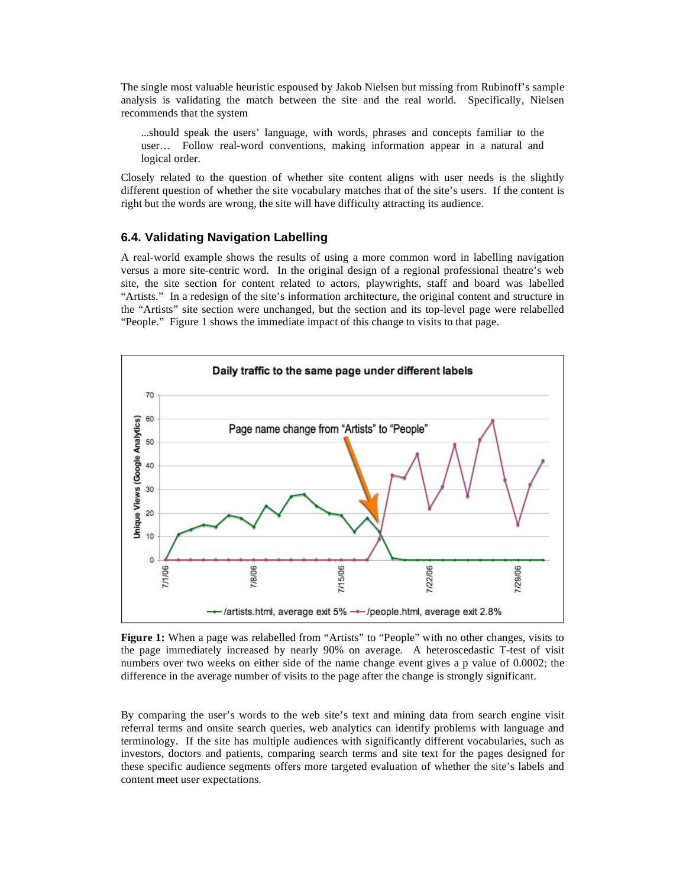The single most valuable heuristic espoused by Jakob Nielsen but missing from Rubinoff's sample analysis is validating the match between the site and the real world. Specifically, Nielsen recommends that the system

...should speak the users' language, with words, phrases and concepts familiar to the user… Follow real-word conventions, making information appear in a natural and logical order.

Closely related to the question of whether site content aligns with user needs is the slightly different question of whether the site vocabulary matches that of the site's users. If the content is right but the words are wrong, the site will have difficulty attracting its audience.

#### **6.4. Validating Navigation Labelling**

A real-world example shows the results of using a more common word in labelling navigation versus a more site-centric word. In the original design of a regional professional theatre's web site, the site section for content related to actors, playwrights, staff and board was labelled "Artists." In a redesign of the site's information architecture, the original content and structure in the "Artists" site section were unchanged, but the section and its top-level page were relabelled "People." Figure 1 shows the immediate impact of this change to visits to that page.



**Figure 1:** When a page was relabelled from "Artists" to "People" with no other changes, visits to the page immediately increased by nearly 90% on average. A heteroscedastic T-test of visit numbers over two weeks on either side of the name change event gives a p value of 0.0002; the difference in the average number of visits to the page after the change is strongly significant.

By comparing the user's words to the web site's text and mining data from search engine visit referral terms and onsite search queries, web analytics can identify problems with language and terminology. If the site has multiple audiences with significantly different vocabularies, such as investors, doctors and patients, comparing search terms and site text for the pages designed for these specific audience segments offers more targeted evaluation of whether the site's labels and content meet user expectations.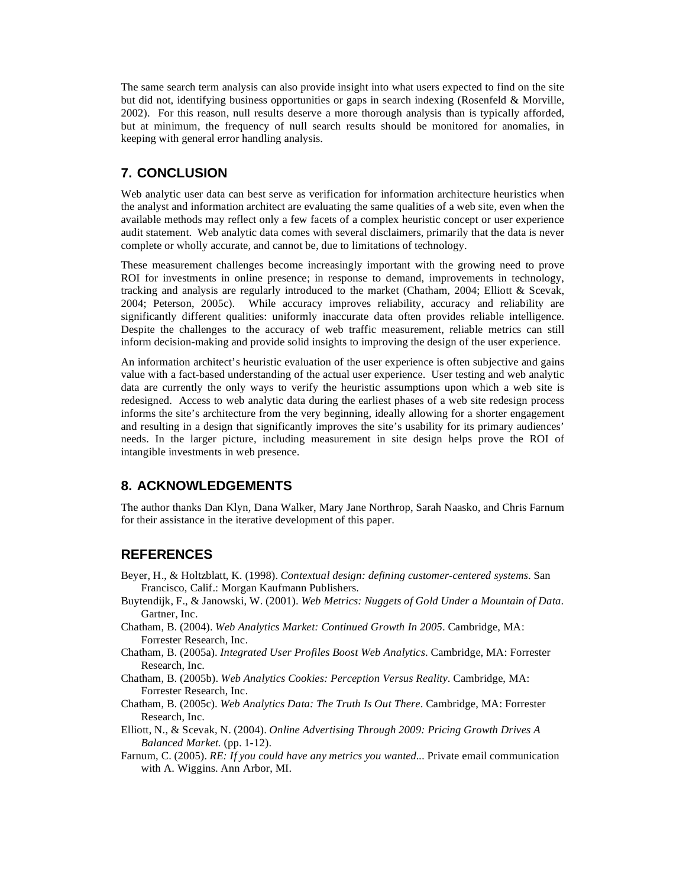The same search term analysis can also provide insight into what users expected to find on the site but did not, identifying business opportunities or gaps in search indexing (Rosenfeld & Morville, 2002). For this reason, null results deserve a more thorough analysis than is typically afforded, but at minimum, the frequency of null search results should be monitored for anomalies, in keeping with general error handling analysis.

# **7. CONCLUSION**

Web analytic user data can best serve as verification for information architecture heuristics when the analyst and information architect are evaluating the same qualities of a web site, even when the available methods may reflect only a few facets of a complex heuristic concept or user experience audit statement. Web analytic data comes with several disclaimers, primarily that the data is never complete or wholly accurate, and cannot be, due to limitations of technology.

These measurement challenges become increasingly important with the growing need to prove ROI for investments in online presence; in response to demand, improvements in technology, tracking and analysis are regularly introduced to the market (Chatham, 2004; Elliott & Scevak, 2004; Peterson, 2005c). While accuracy improves reliability, accuracy and reliability are significantly different qualities: uniformly inaccurate data often provides reliable intelligence. Despite the challenges to the accuracy of web traffic measurement, reliable metrics can still inform decision-making and provide solid insights to improving the design of the user experience.

An information architect's heuristic evaluation of the user experience is often subjective and gains value with a fact-based understanding of the actual user experience. User testing and web analytic data are currently the only ways to verify the heuristic assumptions upon which a web site is redesigned. Access to web analytic data during the earliest phases of a web site redesign process informs the site's architecture from the very beginning, ideally allowing for a shorter engagement and resulting in a design that significantly improves the site's usability for its primary audiences' needs. In the larger picture, including measurement in site design helps prove the ROI of intangible investments in web presence.

## **8. ACKNOWLEDGEMENTS**

The author thanks Dan Klyn, Dana Walker, Mary Jane Northrop, Sarah Naasko, and Chris Farnum for their assistance in the iterative development of this paper.

## **REFERENCES**

- Beyer, H., & Holtzblatt, K. (1998). *Contextual design: defining customer-centered systems*. San Francisco, Calif.: Morgan Kaufmann Publishers.
- Buytendijk, F., & Janowski, W. (2001). *Web Metrics: Nuggets of Gold Under a Mountain of Data*. Gartner, Inc.
- Chatham, B. (2004). *Web Analytics Market: Continued Growth In 2005*. Cambridge, MA: Forrester Research, Inc.
- Chatham, B. (2005a). *Integrated User Profiles Boost Web Analytics*. Cambridge, MA: Forrester Research, Inc.
- Chatham, B. (2005b). *Web Analytics Cookies: Perception Versus Reality*. Cambridge, MA: Forrester Research, Inc.
- Chatham, B. (2005c). *Web Analytics Data: The Truth Is Out There*. Cambridge, MA: Forrester Research, Inc.
- Elliott, N., & Scevak, N. (2004). *Online Advertising Through 2009: Pricing Growth Drives A Balanced Market.* (pp. 1-12).
- Farnum, C. (2005). *RE: If you could have any metrics you wanted...* Private email communication with A. Wiggins. Ann Arbor, MI.